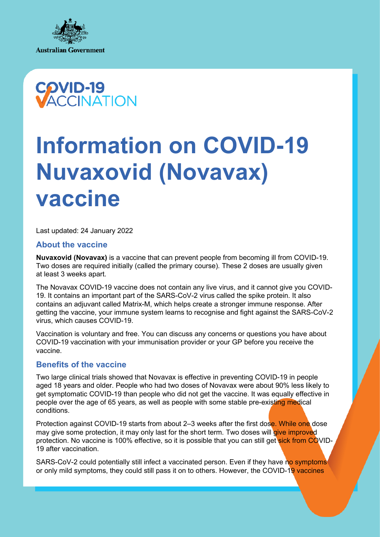



# **Information on COVID-19 Nuvaxovid (Novavax) vaccine**

Last updated: 24 January 2022

## **About the vaccine**

**Nuvaxovid (Novavax)** is a vaccine that can prevent people from becoming ill from COVID-19. Two doses are required initially (called the primary course). These 2 doses are usually given at least 3 weeks apart.

The Novavax COVID-19 vaccine does not contain any live virus, and it cannot give you COVID-19. It contains an important part of the SARS-CoV-2 virus called the spike protein. It also contains an adjuvant called Matrix-M, which helps create a stronger immune response. After getting the vaccine, your immune system learns to recognise and fight against the SARS-CoV-2 virus, which causes COVID-19.

Vaccination is voluntary and free. You can discuss any concerns or questions you have about COVID-19 vaccination with your immunisation provider or your GP before you receive the vaccine.

## **Benefits of the vaccine**

Two large clinical trials showed that Novavax is effective in preventing COVID-19 in people aged 18 years and older. People who had two doses of Novavax were about 90% less likely to get symptomatic COVID-19 than people who did not get the vaccine. It was equally effective in people over the age of 65 years, as well as people with some stable pre-existing medical conditions.

Protection against COVID-19 starts from about 2–3 weeks after the first dose. While one dose may give some protection, it may only last for the short term. Two doses will give improved protection. No vaccine is 100% effective, so it is possible that you can still get sick from COVID-19 after vaccination.

SARS-CoV-2 could potentially still infect a vaccinated person. Even if they have no symptoms or only mild symptoms, they could still pass it on to others. However, the COVID-19 vaccines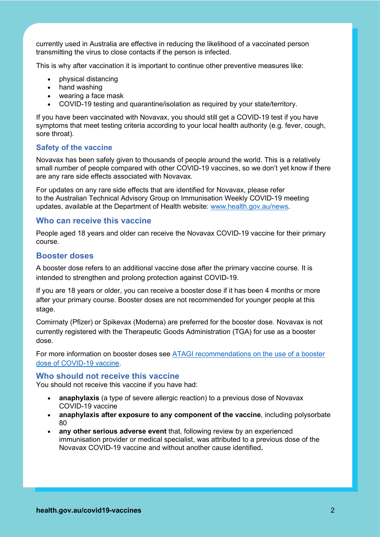currently used in Australia are effective in reducing the likelihood of a vaccinated person transmitting the virus to close contacts if the person is infected.

This is why after vaccination it is important to continue other preventive measures like:

- physical distancing
- hand washing
- wearing a face mask
- COVID-19 testing and quarantine/isolation as required by your state/territory.

If you have been vaccinated with Novavax, you should still get a COVID-19 test if you have symptoms that meet testing criteria according to your local health authority (e.g. fever, cough, sore throat).

## **Safety of the vaccine**

Novavax has been safely given to thousands of people around the world. This is a relatively small number of people compared with other COVID-19 vaccines, so we don't yet know if there are any rare side effects associated with Novavax.

For updates on any rare side effects that are identified for Novavax, please refer to the Australian Technical Advisory Group on Immunisation Weekly COVID-19 meeting updates, available at the Department of Health website: www.health.gov.au/news.

## **Who can receive this vaccine**

People aged 18 years and older can receive the Novavax COVID-19 vaccine for their primary course.

## **Booster doses**

A booster dose refers to an additional vaccine dose after the primary vaccine course. It is intended to strengthen and prolong protection against COVID-19.

If you are 18 years or older, you can receive a booster dose if it has been 4 months or more after your primary course. Booster doses are not recommended for younger people at this stage.

Comirnaty (Pfizer) or Spikevax (Moderna) are preferred for the booster dose. Novavax is not currently registered with the Therapeutic Goods Administration (TGA) for use as a booster dose.

For more information on booster doses see ATAGI recommendations on the use of a booster dose of COVID-19 vaccine.

## **Who should not receive this vaccine**

You should not receive this vaccine if you have had:

- **anaphylaxis** (a type of severe allergic reaction) to a previous dose of Novavax COVID-19 vaccine
- **anaphylaxis after exposure to any component of the vaccine**, including polysorbate 80
- **any other serious adverse event** that, following review by an experienced immunisation provider or medical specialist, was attributed to a previous dose of the Novavax COVID-19 vaccine and without another cause identified**.**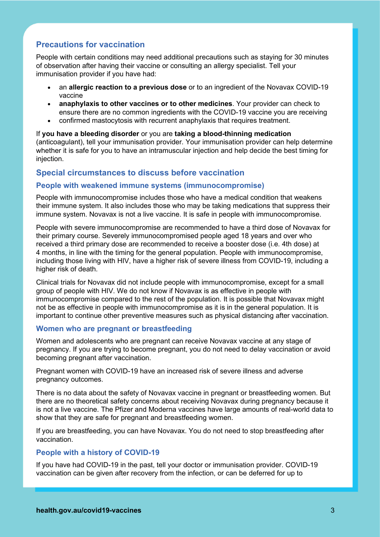# **Precautions for vaccination**

People with certain conditions may need additional precautions such as staying for 30 minutes of observation after having their vaccine or consulting an allergy specialist. Tell your immunisation provider if you have had:

- an **allergic reaction to a previous dose** or to an ingredient of the Novavax COVID-19 vaccine
- **anaphylaxis to other vaccines or to other medicines**. Your provider can check to ensure there are no common ingredients with the COVID-19 vaccine you are receiving
- confirmed mastocytosis with recurrent anaphylaxis that requires treatment.

If **you have a bleeding disorder** or you are **taking a blood-thinning medication**  (anticoagulant), tell your immunisation provider. Your immunisation provider can help determine whether it is safe for you to have an intramuscular injection and help decide the best timing for injection.

## **Special circumstances to discuss before vaccination**

## **People with weakened immune systems (immunocompromise)**

People with immunocompromise includes those who have a medical condition that weakens their immune system. It also includes those who may be taking medications that suppress their immune system. Novavax is not a live vaccine. It is safe in people with immunocompromise.

People with severe immunocompromise are recommended to have a third dose of Novavax for their primary course. Severely immunocompromised people aged 18 years and over who received a third primary dose are recommended to receive a booster dose (i.e. 4th dose) at 4 months, in line with the timing for the general population. People with immunocompromise, including those living with HIV, have a higher risk of severe illness from COVID-19, including a higher risk of death.

Clinical trials for Novavax did not include people with immunocompromise, except for a small group of people with HIV. We do not know if Novavax is as effective in people with immunocompromise compared to the rest of the population. It is possible that Novavax might not be as effective in people with immunocompromise as it is in the general population. It is important to continue other preventive measures such as physical distancing after vaccination.

#### **Women who are pregnant or breastfeeding**

Women and adolescents who are pregnant can receive Novavax vaccine at any stage of pregnancy. If you are trying to become pregnant, you do not need to delay vaccination or avoid becoming pregnant after vaccination.

Pregnant women with COVID-19 have an increased risk of severe illness and adverse pregnancy outcomes.

There is no data about the safety of Novavax vaccine in pregnant or breastfeeding women. But there are no theoretical safety concerns about receiving Novavax during pregnancy because it is not a live vaccine. The Pfizer and Moderna vaccines have large amounts of real-world data to show that they are safe for pregnant and breastfeeding women.

If you are breastfeeding, you can have Novavax. You do not need to stop breastfeeding after vaccination.

## **People with a history of COVID-19**

If you have had COVID-19 in the past, tell your doctor or immunisation provider. COVID-19 vaccination can be given after recovery from the infection, or can be deferred for up to